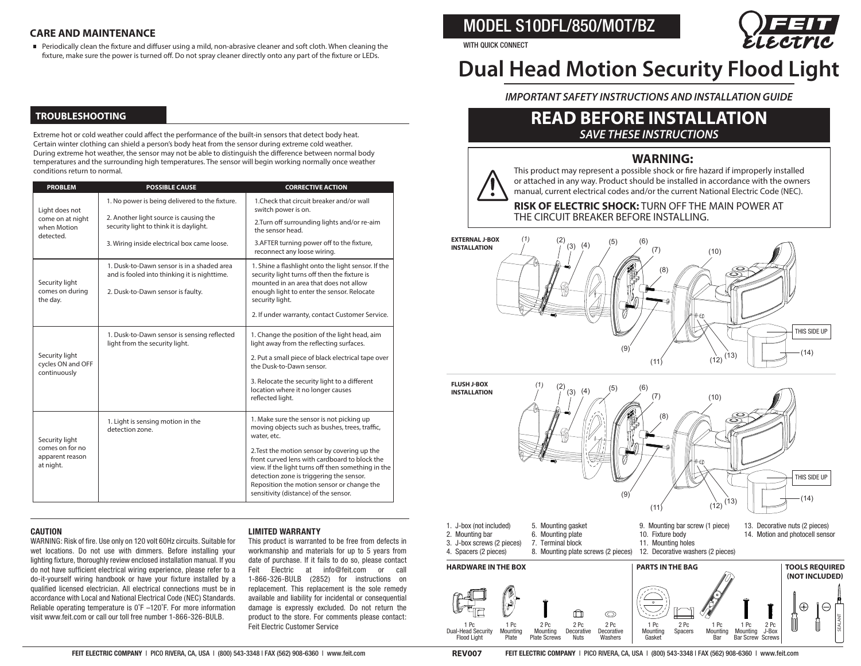#### **CARE AND MAINTENANCE**

Periodically clean the fixture and diffuser using a mild, non-abrasive cleaner and soft cloth. When cleaning the fixture, make sure the power is turned off. Do not spray cleaner directly onto any part of the fixture or LEDs.

# **TROUBLESHOOTING**

Extreme hot or cold weather could affect the performance of the built-in sensors that detect body heat. Certain winter clothing can shield a person's body heat from the sensor during extreme cold weather. During extreme hot weather, the sensor may not be able to distinguish the difference between normal body temperatures and the surrounding high temperatures. The sensor will begin working normally once weather conditions return to normal.

| <b>PROBLEM</b>                                                    | <b>POSSIBLE CAUSE</b>                                                                                                           | <b>CORRECTIVE ACTION</b>                                                                                                                                                                                                                                                               |
|-------------------------------------------------------------------|---------------------------------------------------------------------------------------------------------------------------------|----------------------------------------------------------------------------------------------------------------------------------------------------------------------------------------------------------------------------------------------------------------------------------------|
| Light does not<br>come on at night<br>when Motion<br>detected.    | 1. No power is being delivered to the fixture.                                                                                  | 1. Check that circuit breaker and/or wall<br>switch power is on.                                                                                                                                                                                                                       |
|                                                                   | 2. Another light source is causing the<br>security light to think it is daylight.                                               | 2. Turn off surrounding lights and/or re-aim<br>the sensor head.                                                                                                                                                                                                                       |
|                                                                   | 3. Wiring inside electrical box came loose.                                                                                     | 3. AFTER turning power off to the fixture,<br>reconnect any loose wiring.                                                                                                                                                                                                              |
| Security light<br>comes on during<br>the day.                     | 1. Dusk-to-Dawn sensor is in a shaded area<br>and is fooled into thinking it is nighttime.<br>2. Dusk-to-Dawn sensor is faulty. | 1. Shine a flashlight onto the light sensor. If the<br>security light turns off then the fixture is<br>mounted in an area that does not allow<br>enough light to enter the sensor. Relocate<br>security light.<br>2. If under warranty, contact Customer Service.                      |
| Security light<br>cycles ON and OFF<br>continuously               | 1. Dusk-to-Dawn sensor is sensing reflected<br>light from the security light.                                                   | 1. Change the position of the light head, aim<br>light away from the reflecting surfaces.<br>2. Put a small piece of black electrical tape over<br>the Dusk-to-Dawn sensor                                                                                                             |
|                                                                   |                                                                                                                                 | 3. Relocate the security light to a different<br>location where it no longer causes<br>reflected light.                                                                                                                                                                                |
| Security light<br>comes on for no<br>apparent reason<br>at night. | 1. Light is sensing motion in the<br>detection zone.                                                                            | 1. Make sure the sensor is not picking up<br>moving objects such as bushes, trees, traffic,<br>water, etc.                                                                                                                                                                             |
|                                                                   |                                                                                                                                 | 2. Test the motion sensor by covering up the<br>front curved lens with cardboard to block the<br>view. If the light turns off then something in the<br>detection zone is triggering the sensor.<br>Reposition the motion sensor or change the<br>sensitivity (distance) of the sensor. |

#### **CAUTION**

WARNING: Risk of fire. Use only on 120 volt 60Hz circuits. Suitable for wet locations. Do not use with dimmers. Before installing your lighting fixture, thoroughly review enclosed installation manual. If you do not have sufficient electrical wiring experience, please refer to a do-it-yourself wiring handbook or have your fixture installed by a qualified licensed electrician. All electrical connections must be in accordance with Local and National Electrical Code (NEC) Standards. Reliable operating temperature is 0˚F –120˚F. For more information visit www.feit.com or call our toll free number 1-866-326-BULB.

#### **LIMITED WARRANTY**

This product is warranted to be free from defects in workmanship and materials for up to 5 years from date of purchase. If it fails to do so, please contact Feit Electric at info@feit.com or call 1-866-326-BULB (2852) for instructions on replacement. This replacement is the sole remedy available and liability for incidental or consequential damage is expressly excluded. Do not return the product to the store. For comments please contact: Feit Electric Customer Service

MODEL S10DFL/850/MOT/BZ



#### WITH QUICK CONNECT

# **Dual Head Motion Security Flood Light**

*IMPORTANT SAFETY INSTRUCTIONS AND INSTALLATION GUIDE*

# *SAVE THESE INSTRUCTIONS* **READ BEFORE INSTALLATION**

# **WARNING:**

This product may represent a possible shock or fire hazard if improperly installed or attached in any way. Product should be installed in accordance with the owners manual, current electrical codes and/or the current National Electric Code (NEC).

**RISK OF ELECTRIC SHOCK:** TURN OFF THE MAIN POWER AT THE CIRCUIT BREAKER BEFORE INSTALLING.







FEIT ELECTRIC COMPANY | PICO RIVERA, CA, USA | (800) 543-3348 | FAX (562) 908-6360 | www.feit.com **FEIT ELECTRIC COMPANY** | PICO RIVERA, CA, USA | (800) 543-3348 | FAX (562) 908-6360 | www.feit.com